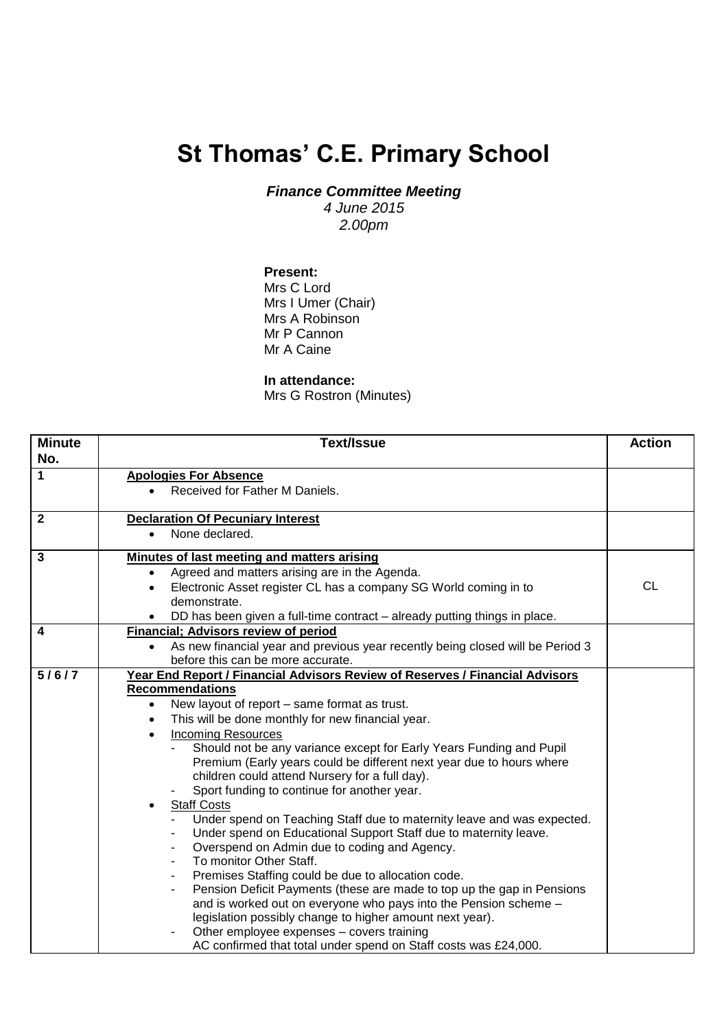## **St Thomas' C.E. Primary School**

*Finance Committee Meeting*

*4 June 2015 2.00pm*

## **Present:**

Mrs C Lord Mrs I Umer (Chair) Mrs A Robinson Mr P Cannon Mr A Caine

## **In attendance:**

Mrs G Rostron (Minutes)

| <b>Minute</b><br>No. | Text/Issue                                                                                                                   | <b>Action</b> |
|----------------------|------------------------------------------------------------------------------------------------------------------------------|---------------|
| 1                    | <b>Apologies For Absence</b>                                                                                                 |               |
|                      | Received for Father M Daniels.                                                                                               |               |
| 2                    | <b>Declaration Of Pecuniary Interest</b>                                                                                     |               |
|                      | None declared.<br>$\bullet$                                                                                                  |               |
| 3                    | Minutes of last meeting and matters arising                                                                                  |               |
|                      | Agreed and matters arising are in the Agenda.<br>$\bullet$                                                                   |               |
|                      | Electronic Asset register CL has a company SG World coming in to<br>demonstrate.                                             | <b>CL</b>     |
|                      | DD has been given a full-time contract - already putting things in place.                                                    |               |
| 4                    | Financial; Advisors review of period                                                                                         |               |
|                      | As new financial year and previous year recently being closed will be Period 3                                               |               |
|                      | before this can be more accurate.                                                                                            |               |
| 5/6/7                | Year End Report / Financial Advisors Review of Reserves / Financial Advisors                                                 |               |
|                      | <b>Recommendations</b>                                                                                                       |               |
|                      | New layout of report - same format as trust.<br>$\bullet$                                                                    |               |
|                      | This will be done monthly for new financial year.<br>$\bullet$                                                               |               |
|                      | <b>Incoming Resources</b><br>$\bullet$                                                                                       |               |
|                      | Should not be any variance except for Early Years Funding and Pupil                                                          |               |
|                      | Premium (Early years could be different next year due to hours where                                                         |               |
|                      | children could attend Nursery for a full day).                                                                               |               |
|                      | Sport funding to continue for another year.                                                                                  |               |
|                      | <b>Staff Costs</b>                                                                                                           |               |
|                      | Under spend on Teaching Staff due to maternity leave and was expected.                                                       |               |
|                      | Under spend on Educational Support Staff due to maternity leave.                                                             |               |
|                      | Overspend on Admin due to coding and Agency.                                                                                 |               |
|                      | To monitor Other Staff.                                                                                                      |               |
|                      | Premises Staffing could be due to allocation code.                                                                           |               |
|                      | Pension Deficit Payments (these are made to top up the gap in Pensions                                                       |               |
|                      | and is worked out on everyone who pays into the Pension scheme -<br>legislation possibly change to higher amount next year). |               |
|                      | Other employee expenses - covers training                                                                                    |               |
|                      | AC confirmed that total under spend on Staff costs was £24,000.                                                              |               |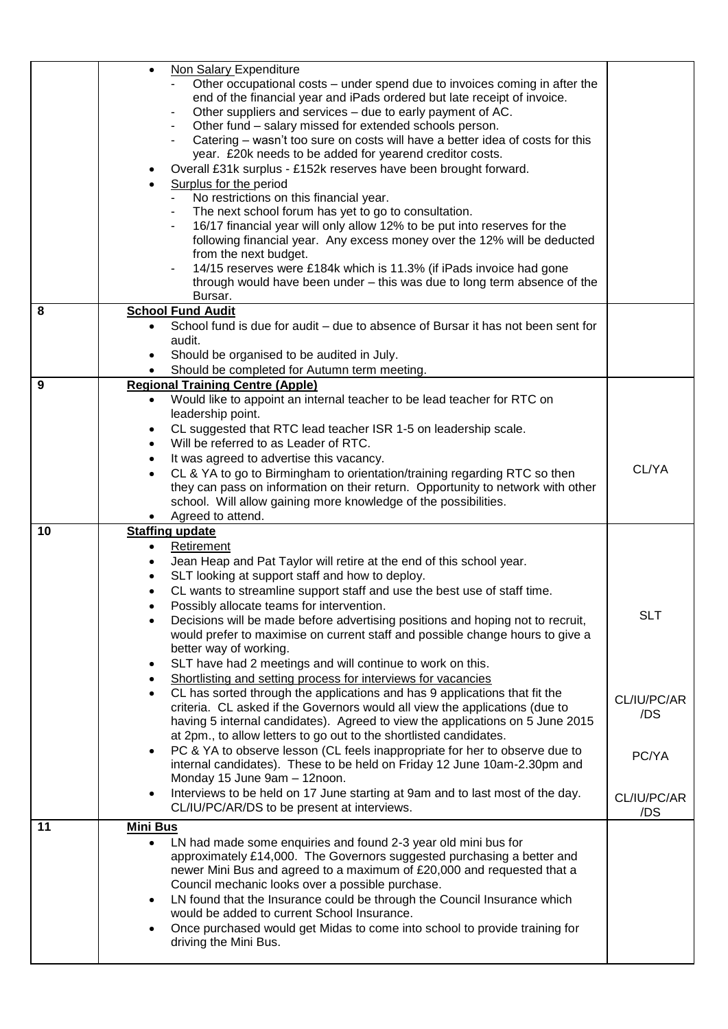|    | Non Salary Expenditure<br>$\bullet$<br>Other occupational costs – under spend due to invoices coming in after the<br>end of the financial year and iPads ordered but late receipt of invoice.<br>Other suppliers and services – due to early payment of AC.<br>Other fund - salary missed for extended schools person.<br>Catering – wasn't too sure on costs will have a better idea of costs for this<br>year. £20k needs to be added for yearend creditor costs.<br>Overall £31k surplus - £152k reserves have been brought forward.<br>٠<br>Surplus for the period<br>No restrictions on this financial year.<br>The next school forum has yet to go to consultation.<br>16/17 financial year will only allow 12% to be put into reserves for the<br>following financial year. Any excess money over the 12% will be deducted<br>from the next budget. |             |
|----|------------------------------------------------------------------------------------------------------------------------------------------------------------------------------------------------------------------------------------------------------------------------------------------------------------------------------------------------------------------------------------------------------------------------------------------------------------------------------------------------------------------------------------------------------------------------------------------------------------------------------------------------------------------------------------------------------------------------------------------------------------------------------------------------------------------------------------------------------------|-------------|
|    | 14/15 reserves were £184k which is 11.3% (if iPads invoice had gone<br>through would have been under - this was due to long term absence of the<br>Bursar.                                                                                                                                                                                                                                                                                                                                                                                                                                                                                                                                                                                                                                                                                                 |             |
| 8  | <b>School Fund Audit</b>                                                                                                                                                                                                                                                                                                                                                                                                                                                                                                                                                                                                                                                                                                                                                                                                                                   |             |
|    | School fund is due for audit – due to absence of Bursar it has not been sent for<br>$\bullet$                                                                                                                                                                                                                                                                                                                                                                                                                                                                                                                                                                                                                                                                                                                                                              |             |
|    | audit.                                                                                                                                                                                                                                                                                                                                                                                                                                                                                                                                                                                                                                                                                                                                                                                                                                                     |             |
|    | Should be organised to be audited in July.                                                                                                                                                                                                                                                                                                                                                                                                                                                                                                                                                                                                                                                                                                                                                                                                                 |             |
|    | Should be completed for Autumn term meeting.                                                                                                                                                                                                                                                                                                                                                                                                                                                                                                                                                                                                                                                                                                                                                                                                               |             |
| 9  | <b>Regional Training Centre (Apple)</b>                                                                                                                                                                                                                                                                                                                                                                                                                                                                                                                                                                                                                                                                                                                                                                                                                    |             |
|    | Would like to appoint an internal teacher to be lead teacher for RTC on<br>$\bullet$                                                                                                                                                                                                                                                                                                                                                                                                                                                                                                                                                                                                                                                                                                                                                                       |             |
|    | leadership point.                                                                                                                                                                                                                                                                                                                                                                                                                                                                                                                                                                                                                                                                                                                                                                                                                                          |             |
|    | CL suggested that RTC lead teacher ISR 1-5 on leadership scale.                                                                                                                                                                                                                                                                                                                                                                                                                                                                                                                                                                                                                                                                                                                                                                                            |             |
|    | $\bullet$<br>Will be referred to as Leader of RTC.                                                                                                                                                                                                                                                                                                                                                                                                                                                                                                                                                                                                                                                                                                                                                                                                         |             |
|    | $\bullet$                                                                                                                                                                                                                                                                                                                                                                                                                                                                                                                                                                                                                                                                                                                                                                                                                                                  |             |
|    | It was agreed to advertise this vacancy.<br>$\bullet$                                                                                                                                                                                                                                                                                                                                                                                                                                                                                                                                                                                                                                                                                                                                                                                                      | CL/YA       |
|    | CL & YA to go to Birmingham to orientation/training regarding RTC so then<br>$\bullet$                                                                                                                                                                                                                                                                                                                                                                                                                                                                                                                                                                                                                                                                                                                                                                     |             |
|    | they can pass on information on their return. Opportunity to network with other                                                                                                                                                                                                                                                                                                                                                                                                                                                                                                                                                                                                                                                                                                                                                                            |             |
|    | school. Will allow gaining more knowledge of the possibilities.                                                                                                                                                                                                                                                                                                                                                                                                                                                                                                                                                                                                                                                                                                                                                                                            |             |
|    | Agreed to attend.                                                                                                                                                                                                                                                                                                                                                                                                                                                                                                                                                                                                                                                                                                                                                                                                                                          |             |
| 10 | <b>Staffing update</b>                                                                                                                                                                                                                                                                                                                                                                                                                                                                                                                                                                                                                                                                                                                                                                                                                                     |             |
|    | <b>Retirement</b><br>$\bullet$                                                                                                                                                                                                                                                                                                                                                                                                                                                                                                                                                                                                                                                                                                                                                                                                                             |             |
|    | Jean Heap and Pat Taylor will retire at the end of this school year.<br>$\bullet$                                                                                                                                                                                                                                                                                                                                                                                                                                                                                                                                                                                                                                                                                                                                                                          |             |
|    | SLT looking at support staff and how to deploy.<br>$\bullet$                                                                                                                                                                                                                                                                                                                                                                                                                                                                                                                                                                                                                                                                                                                                                                                               |             |
|    | CL wants to streamline support staff and use the best use of staff time.                                                                                                                                                                                                                                                                                                                                                                                                                                                                                                                                                                                                                                                                                                                                                                                   |             |
|    | Possibly allocate teams for intervention.                                                                                                                                                                                                                                                                                                                                                                                                                                                                                                                                                                                                                                                                                                                                                                                                                  | <b>SLT</b>  |
|    | Decisions will be made before advertising positions and hoping not to recruit,<br>$\bullet$                                                                                                                                                                                                                                                                                                                                                                                                                                                                                                                                                                                                                                                                                                                                                                |             |
|    | would prefer to maximise on current staff and possible change hours to give a                                                                                                                                                                                                                                                                                                                                                                                                                                                                                                                                                                                                                                                                                                                                                                              |             |
|    | better way of working.                                                                                                                                                                                                                                                                                                                                                                                                                                                                                                                                                                                                                                                                                                                                                                                                                                     |             |
|    | SLT have had 2 meetings and will continue to work on this.<br>$\bullet$                                                                                                                                                                                                                                                                                                                                                                                                                                                                                                                                                                                                                                                                                                                                                                                    |             |
|    | Shortlisting and setting process for interviews for vacancies<br>٠                                                                                                                                                                                                                                                                                                                                                                                                                                                                                                                                                                                                                                                                                                                                                                                         |             |
|    | CL has sorted through the applications and has 9 applications that fit the<br>$\bullet$                                                                                                                                                                                                                                                                                                                                                                                                                                                                                                                                                                                                                                                                                                                                                                    | CL/IU/PC/AR |
|    | criteria. CL asked if the Governors would all view the applications (due to                                                                                                                                                                                                                                                                                                                                                                                                                                                                                                                                                                                                                                                                                                                                                                                | /DS         |
|    | having 5 internal candidates). Agreed to view the applications on 5 June 2015                                                                                                                                                                                                                                                                                                                                                                                                                                                                                                                                                                                                                                                                                                                                                                              |             |
|    | at 2pm., to allow letters to go out to the shortlisted candidates.                                                                                                                                                                                                                                                                                                                                                                                                                                                                                                                                                                                                                                                                                                                                                                                         |             |
|    | PC & YA to observe lesson (CL feels inappropriate for her to observe due to<br>$\bullet$                                                                                                                                                                                                                                                                                                                                                                                                                                                                                                                                                                                                                                                                                                                                                                   | PC/YA       |
|    | internal candidates). These to be held on Friday 12 June 10am-2.30pm and                                                                                                                                                                                                                                                                                                                                                                                                                                                                                                                                                                                                                                                                                                                                                                                   |             |
|    | Monday 15 June 9am - 12noon.                                                                                                                                                                                                                                                                                                                                                                                                                                                                                                                                                                                                                                                                                                                                                                                                                               |             |
|    | Interviews to be held on 17 June starting at 9am and to last most of the day.<br>$\bullet$                                                                                                                                                                                                                                                                                                                                                                                                                                                                                                                                                                                                                                                                                                                                                                 | CL/IU/PC/AR |
|    | CL/IU/PC/AR/DS to be present at interviews.                                                                                                                                                                                                                                                                                                                                                                                                                                                                                                                                                                                                                                                                                                                                                                                                                | /DS         |
| 11 | <b>Mini Bus</b>                                                                                                                                                                                                                                                                                                                                                                                                                                                                                                                                                                                                                                                                                                                                                                                                                                            |             |
|    | LN had made some enquiries and found 2-3 year old mini bus for<br>$\bullet$                                                                                                                                                                                                                                                                                                                                                                                                                                                                                                                                                                                                                                                                                                                                                                                |             |
|    | approximately £14,000. The Governors suggested purchasing a better and                                                                                                                                                                                                                                                                                                                                                                                                                                                                                                                                                                                                                                                                                                                                                                                     |             |
|    | newer Mini Bus and agreed to a maximum of £20,000 and requested that a                                                                                                                                                                                                                                                                                                                                                                                                                                                                                                                                                                                                                                                                                                                                                                                     |             |
|    | Council mechanic looks over a possible purchase.                                                                                                                                                                                                                                                                                                                                                                                                                                                                                                                                                                                                                                                                                                                                                                                                           |             |
|    | LN found that the Insurance could be through the Council Insurance which<br>$\bullet$                                                                                                                                                                                                                                                                                                                                                                                                                                                                                                                                                                                                                                                                                                                                                                      |             |
|    | would be added to current School Insurance.                                                                                                                                                                                                                                                                                                                                                                                                                                                                                                                                                                                                                                                                                                                                                                                                                |             |
|    | Once purchased would get Midas to come into school to provide training for<br>$\bullet$                                                                                                                                                                                                                                                                                                                                                                                                                                                                                                                                                                                                                                                                                                                                                                    |             |
|    | driving the Mini Bus.                                                                                                                                                                                                                                                                                                                                                                                                                                                                                                                                                                                                                                                                                                                                                                                                                                      |             |
|    |                                                                                                                                                                                                                                                                                                                                                                                                                                                                                                                                                                                                                                                                                                                                                                                                                                                            |             |